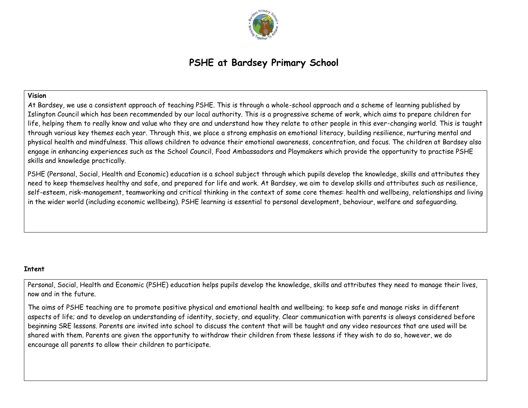

# **PSHE at Bardsey Primary School**

# **Vision**

At Bardsey, we use a consistent approach of teaching PSHE. This is through a whole-school approach and a scheme of learning published by Islington Council which has been recommended by our local authority. This is a progressive scheme of work, which aims to prepare children for life, helping them to really know and value who they are and understand how they relate to other people in this ever-changing world. This is taught through various key themes each year. Through this, we place a strong emphasis on emotional literacy, building resilience, nurturing mental and physical health and mindfulness. This allows children to advance their emotional awareness, concentration, and focus. The children at Bardsey also engage in enhancing experiences such as the School Council, Food Ambassadors and Playmakers which provide the opportunity to practise PSHE skills and knowledge practically.

PSHE (Personal, Social, Health and Economic) education is a school subject through which pupils develop the knowledge, skills and attributes they need to keep themselves healthy and safe, and prepared for life and work. At Bardsey, we aim to develop skills and attributes such as resilience, self-esteem, risk-management, teamworking and critical thinking in the context of some core themes: health and wellbeing, relationships and living in the wider world (including economic wellbeing). PSHE learning is essential to personal development, behaviour, welfare and safeguarding.

### **Intent**

Personal, Social, Health and Economic (PSHE) education helps pupils develop the knowledge, skills and attributes they need to manage their lives, now and in the future.

The aims of PSHE teaching are to promote positive physical and emotional health and wellbeing; to keep safe and manage risks in different aspects of life; and to develop an understanding of identity, society, and equality. Clear communication with parents is always considered before beginning SRE lessons. Parents are invited into school to discuss the content that will be taught and any video resources that are used will be shared with them. Parents are given the opportunity to withdraw their children from these lessons if they wish to do so, however, we do encourage all parents to allow their children to participate.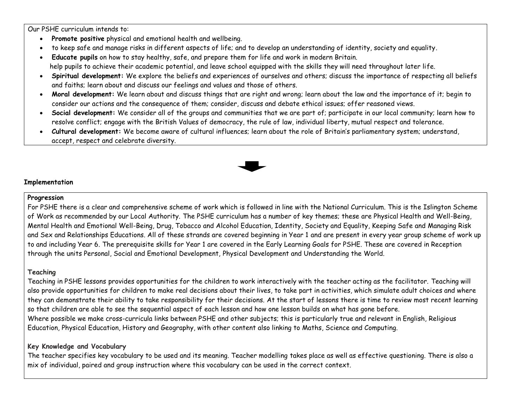Our PSHE curriculum intends to:

- **Promote positive** physical and emotional health and wellbeing.
- to keep safe and manage risks in different aspects of life; and to develop an understanding of identity, society and equality.
- **Educate pupils** on how to stay healthy, safe, and prepare them for life and work in modern Britain. help pupils to achieve their academic potential, and leave school equipped with the skills they will need throughout later life.
- **Spiritual development:** We explore the beliefs and experiences of ourselves and others; discuss the importance of respecting all beliefs and faiths; learn about and discuss our feelings and values and those of others.
- **Moral development:** We learn about and discuss things that are right and wrong; learn about the law and the importance of it; begin to consider our actions and the consequence of them; consider, discuss and debate ethical issues; offer reasoned views.
- **Social development:** We consider all of the groups and communities that we are part of; participate in our local community; learn how to resolve conflict; engage with the British Values of democracy, the rule of law, individual liberty, mutual respect and tolerance.
- **Cultural development:** We become aware of cultural influences; learn about the role of Britain's parliamentary system; understand, accept, respect and celebrate diversity.



# **Implementation**

### **Progression**

For PSHE there is a clear and comprehensive scheme of work which is followed in line with the National Curriculum. This is the Islington Scheme of Work as recommended by our Local Authority. The PSHE curriculum has a number of key themes; these are Physical Health and Well-Being, Mental Health and Emotional Well-Being, Drug, Tobacco and Alcohol Education, Identity, Society and Equality, Keeping Safe and Managing Risk and Sex and Relationships Educations. All of these strands are covered beginning in Year 1 and are present in every year group scheme of work up to and including Year 6. The prerequisite skills for Year 1 are covered in the Early Learning Goals for PSHE. These are covered in Reception through the units Personal, Social and Emotional Development, Physical Development and Understanding the World.

# **Teaching**

Teaching in PSHE lessons provides opportunities for the children to work interactively with the teacher acting as the facilitator. Teaching will also provide opportunities for children to make real decisions about their lives, to take part in activities, which simulate adult choices and where they can demonstrate their ability to take responsibility for their decisions. At the start of lessons there is time to review most recent learning so that children are able to see the sequential aspect of each lesson and how one lesson builds on what has gone before. Where possible we make cross-curricula links between PSHE and other subjects; this is particularly true and relevant in English, Religious Education, Physical Education, History and Geography, with other content also linking to Maths, Science and Computing.

# **Key Knowledge and Vocabulary**

The teacher specifies key vocabulary to be used and its meaning. Teacher modelling takes place as well as effective questioning. There is also a mix of individual, paired and group instruction where this vocabulary can be used in the correct context.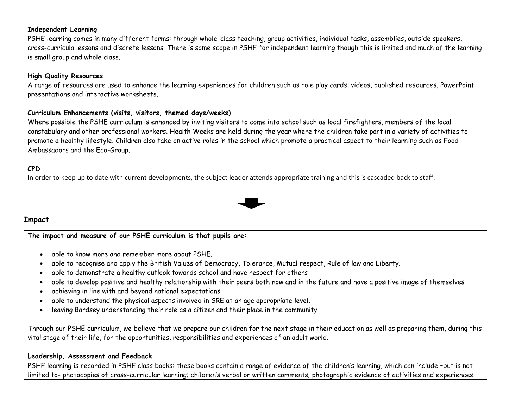### **Independent Learning**

PSHE learning comes in many different forms: through whole-class teaching, group activities, individual tasks, assemblies, outside speakers, cross-curricula lessons and discrete lessons. There is some scope in PSHE for independent learning though this is limited and much of the learning is small group and whole class.

## **High Quality Resources**

A range of resources are used to enhance the learning experiences for children such as role play cards, videos, published resources, PowerPoint presentations and interactive worksheets.

# **Curriculum Enhancements (visits, visitors, themed days/weeks)**

Where possible the PSHE curriculum is enhanced by inviting visitors to come into school such as local firefighters, members of the local constabulary and other professional workers. Health Weeks are held during the year where the children take part in a variety of activities to promote a healthy lifestyle. Children also take on active roles in the school which promote a practical aspect to their learning such as Food Ambassadors and the Eco-Group.

# **CPD**

In order to keep up to date with current developments, the subject leader attends appropriate training and this is cascaded back to staff.



### **Impact**

**The impact and measure of our PSHE curriculum is that pupils are:**

- able to know more and remember more about PSHE.
- able to recognise and apply the British Values of Democracy, Tolerance, Mutual respect, Rule of law and Liberty.
- able to demonstrate a healthy outlook towards school and have respect for others
- able to develop positive and healthy relationship with their peers both now and in the future and have a positive image of themselves
- achieving in line with and beyond national expectations
- able to understand the physical aspects involved in SRE at an age appropriate level.
- leaving Bardsey understanding their role as a citizen and their place in the community

Through our PSHE curriculum, we believe that we prepare our children for the next stage in their education as well as preparing them, during this vital stage of their life, for the opportunities, responsibilities and experiences of an adult world.

### **Leadership, Assessment and Feedback**

PSHE learning is recorded in PSHE class books: these books contain a range of evidence of the children's learning, which can include –but is not limited to- photocopies of cross-curricular learning; children's verbal or written comments; photographic evidence of activities and experiences.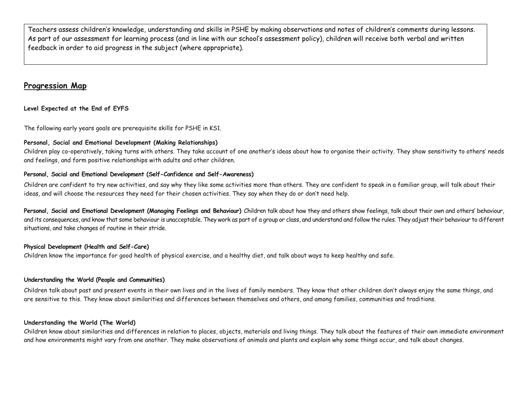Teachers assess children's knowledge, understanding and skills in PSHE by making observations and notes of children's comments during lessons. As part of our assessment for learning process (and in line with our school's assessment policy), children will receive both verbal and written feedback in order to aid progress in the subject (where appropriate).

# **Progression Map**

### **Level Expected at the End of EYFS**

The following early years goals are prerequisite skills for PSHE in KS1.

#### **Personal, Social and Emotional Development (Making Relationships)**

Children play co-operatively, taking turns with others. They take account of one another's ideas about how to organise their activity. They show sensitivity to others' needs and feelings, and form positive relationships with adults and other children.

#### **Personal, Social and Emotional Development (Self-Confidence and Self-Awareness)**

Children are confident to try new activities, and say why they like some activities more than others. They are confident to speak in a familiar group, will talk about their ideas, and will choose the resources they need for their chosen activities. They say when they do or don't need help.

Personal, Social and Emotional Development (Managing Feelings and Behaviour) Children talk about how they and others show feelings, talk about their own and others' behaviour, and its consequences, and know that some behaviour is unacceptable. They work as part of a group or class, and understand and follow the rules. They adjust their behaviour to different situations, and take changes of routine in their stride.

#### **Physical Development (Health and Self-Care)**

Children know the importance for good health of physical exercise, and a healthy diet, and talk about ways to keep healthy and safe.

### **Understanding the World (People and Communities)**

Children talk about past and present events in their own lives and in the lives of family members. They know that other children don't always enjoy the same things, and are sensitive to this. They know about similarities and differences between themselves and others, and among families, communities and traditions.

### **Understanding the World (The World)**

Children know about similarities and differences in relation to places, objects, materials and living things. They talk about the features of their own immediate environment and how environments might vary from one another. They make observations of animals and plants and explain why some things occur, and talk about changes.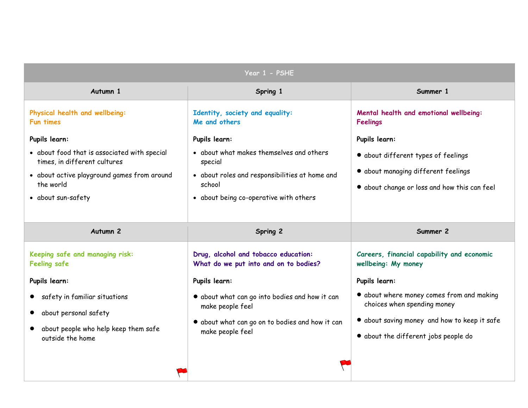| Year 1 - PSHE                                                                                                                                                  |                                                                                                                                                           |                                                                                                                            |
|----------------------------------------------------------------------------------------------------------------------------------------------------------------|-----------------------------------------------------------------------------------------------------------------------------------------------------------|----------------------------------------------------------------------------------------------------------------------------|
| Autumn 1                                                                                                                                                       | Spring 1                                                                                                                                                  | Summer 1                                                                                                                   |
| Physical health and wellbeing:<br><b>Fun times</b>                                                                                                             | Identity, society and equality:<br>Me and others                                                                                                          | Mental health and emotional wellbeing:<br>Feelings                                                                         |
| Pupils learn:                                                                                                                                                  | Pupils learn:                                                                                                                                             | Pupils learn:                                                                                                              |
| • about food that is associated with special<br>times, in different cultures<br>• about active playground games from around<br>the world<br>• about sun-safety | • about what makes themselves and others<br>special<br>• about roles and responsibilities at home and<br>school<br>• about being co-operative with others | • about different types of feelings<br>• about managing different feelings<br>• about change or loss and how this can feel |
| Autumn <sub>2</sub>                                                                                                                                            | Spring 2                                                                                                                                                  | Summer 2                                                                                                                   |
|                                                                                                                                                                |                                                                                                                                                           |                                                                                                                            |
| Keeping safe and managing risk:<br><b>Feeling safe</b>                                                                                                         | Drug, alcohol and tobacco education:<br>What do we put into and on to bodies?                                                                             | Careers, financial capability and economic<br>wellbeing: My money                                                          |
| Pupils learn:                                                                                                                                                  | Pupils learn:                                                                                                                                             | Pupils learn:                                                                                                              |
| safety in familiar situations                                                                                                                                  | . about what can go into bodies and how it can<br>make people feel                                                                                        | • about where money comes from and making<br>choices when spending money                                                   |
| about personal safety                                                                                                                                          |                                                                                                                                                           | • about saving money and how to keep it safe                                                                               |
| about people who help keep them safe<br>outside the home                                                                                                       | · about what can go on to bodies and how it can<br>make people feel                                                                                       | • about the different jobs people do                                                                                       |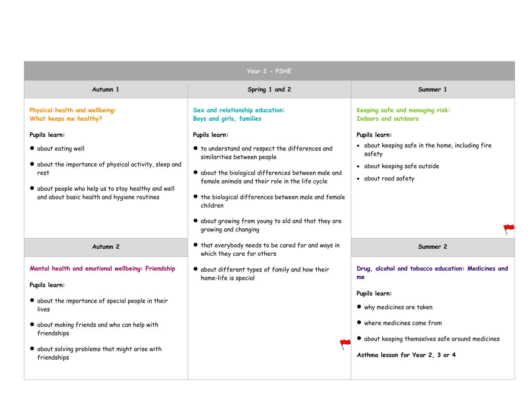| Year 2 - PSHE                                                                                                                                                                                                                                                            |                                                                                                                                                                                                                                                                                                                                                                                                                                                     |                                                                                                                                                                                                                               |
|--------------------------------------------------------------------------------------------------------------------------------------------------------------------------------------------------------------------------------------------------------------------------|-----------------------------------------------------------------------------------------------------------------------------------------------------------------------------------------------------------------------------------------------------------------------------------------------------------------------------------------------------------------------------------------------------------------------------------------------------|-------------------------------------------------------------------------------------------------------------------------------------------------------------------------------------------------------------------------------|
| Autumn 1                                                                                                                                                                                                                                                                 | Spring 1 and 2                                                                                                                                                                                                                                                                                                                                                                                                                                      | Summer 1                                                                                                                                                                                                                      |
| Physical health and wellbeing:<br>What keeps me healthy?<br>Pupils learn:<br>• about eating well<br>• about the importance of physical activity, sleep and<br>rest<br>· about people who help us to stay healthy and well<br>and about basic health and hygiene routines | Sex and relationship education:<br>Boys and girls, families<br>Pupils learn:<br>$\bullet$ to understand and respect the differences and<br>similarities between people<br>$\bullet$ about the biological differences between male and<br>female animals and their role in the life cycle<br>• the biological differences between male and female<br>children<br>$\bullet$ about growing from young to old and that they are<br>growing and changing | Keeping safe and managing risk:<br><b>Indoors and outdoors</b><br>Pupils learn:<br>• about keeping safe in the home, including fire<br>safety<br>• about keeping safe outside<br>• about road safety                          |
| Autumn <sub>2</sub>                                                                                                                                                                                                                                                      | • that everybody needs to be cared for and ways in<br>which they care for others                                                                                                                                                                                                                                                                                                                                                                    | Summer 2                                                                                                                                                                                                                      |
| Mental health and emotional wellbeing: Friendship<br>Pupils learn:<br>• about the importance of special people in their<br>lives<br>• about making friends and who can help with<br>friendships<br>• about solving problems that might arise with<br>friendships         | • about different types of family and how their<br>home-life is special                                                                                                                                                                                                                                                                                                                                                                             | Drug, alcohol and tobacco education: Medicines and<br>me<br>Pupils learn:<br>• why medicines are taken<br>• where medicines come from<br>• about keeping themselves safe around medicines<br>Asthma lesson for Year 2, 3 or 4 |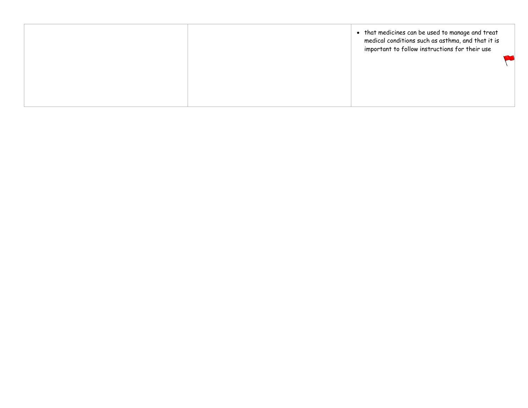| • that medicines can be used to manage and treat<br>medical conditions such as asthma, and that it is<br>important to follow instructions for their use |  |
|---------------------------------------------------------------------------------------------------------------------------------------------------------|--|
|---------------------------------------------------------------------------------------------------------------------------------------------------------|--|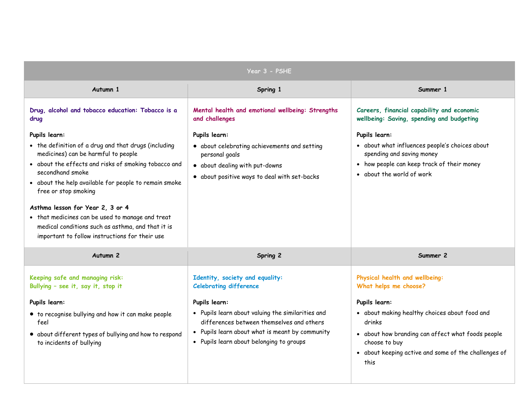| Year 3 - PSHE                                                                                                                                                                                                                                                                |                                                                                                                                                                                                              |                                                                                                                                                                                                                                       |
|------------------------------------------------------------------------------------------------------------------------------------------------------------------------------------------------------------------------------------------------------------------------------|--------------------------------------------------------------------------------------------------------------------------------------------------------------------------------------------------------------|---------------------------------------------------------------------------------------------------------------------------------------------------------------------------------------------------------------------------------------|
| Autumn 1                                                                                                                                                                                                                                                                     | Spring 1                                                                                                                                                                                                     | Summer 1                                                                                                                                                                                                                              |
| Drug, alcohol and tobacco education: Tobacco is a<br>drug<br>Pupils learn:<br>• the definition of a drug and that drugs (including<br>medicines) can be harmful to people<br>• about the effects and risks of smoking tobacco and<br>secondhand smoke                        | Mental health and emotional wellbeing: Strengths<br>and challenges<br>Pupils learn:<br>• about celebrating achievements and setting<br>personal goals<br>· about dealing with put-downs                      | Careers, financial capability and economic<br>wellbeing: Saving, spending and budgeting<br>Pupils learn:<br>• about what influences people's choices about<br>spending and saving money<br>• how people can keep track of their money |
| • about the help available for people to remain smoke<br>free or stop smoking<br>Asthma lesson for Year 2, 3 or 4<br>• that medicines can be used to manage and treat<br>medical conditions such as asthma, and that it is<br>important to follow instructions for their use | · about positive ways to deal with set-backs                                                                                                                                                                 | • about the world of work                                                                                                                                                                                                             |
| Autumn <sub>2</sub>                                                                                                                                                                                                                                                          | Spring 2                                                                                                                                                                                                     | Summer 2                                                                                                                                                                                                                              |
| Keeping safe and managing risk:<br>Bullying - see it, say it, stop it                                                                                                                                                                                                        | Identity, society and equality:<br><b>Celebrating difference</b>                                                                                                                                             | Physical health and wellbeing:<br>What helps me choose?                                                                                                                                                                               |
| Pupils learn:<br>• to recognise bullying and how it can make people<br>feel<br>• about different types of bullying and how to respond<br>to incidents of bullying                                                                                                            | Pupils learn:<br>• Pupils learn about valuing the similarities and<br>differences between themselves and others<br>Pupils learn about what is meant by community<br>• Pupils learn about belonging to groups | Pupils learn:<br>• about making healthy choices about food and<br>drinks<br>• about how branding can affect what foods people<br>choose to buy<br>• about keeping active and some of the challenges of<br>this                        |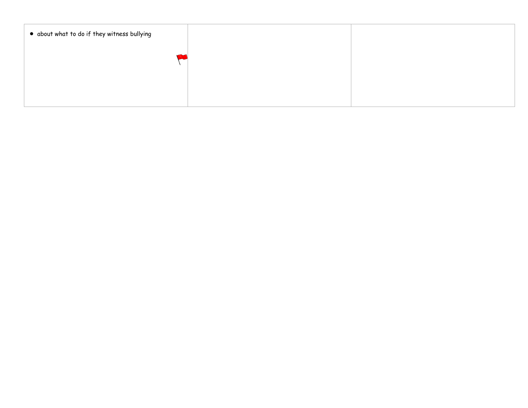| . about what to do if they witness bullying |  |
|---------------------------------------------|--|
|                                             |  |
|                                             |  |
|                                             |  |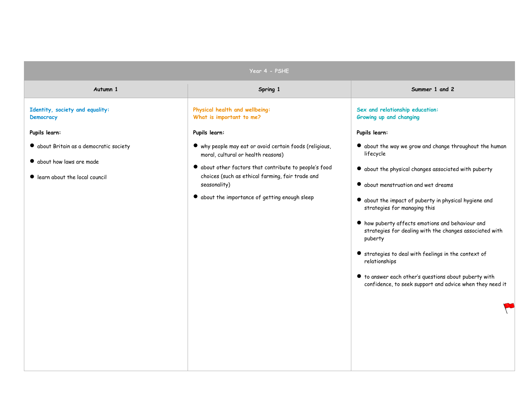| Year 4 - PSHE                                                                                         |                                                                                                                                                                                                                                                                                       |                                                                                                                                                                                                                                                                                                                                                                                                                                                                                                                                                                                                            |
|-------------------------------------------------------------------------------------------------------|---------------------------------------------------------------------------------------------------------------------------------------------------------------------------------------------------------------------------------------------------------------------------------------|------------------------------------------------------------------------------------------------------------------------------------------------------------------------------------------------------------------------------------------------------------------------------------------------------------------------------------------------------------------------------------------------------------------------------------------------------------------------------------------------------------------------------------------------------------------------------------------------------------|
| Autumn 1                                                                                              | Spring 1                                                                                                                                                                                                                                                                              | Summer 1 and 2                                                                                                                                                                                                                                                                                                                                                                                                                                                                                                                                                                                             |
| Identity, society and equality:<br><b>Democracy</b>                                                   | Physical health and wellbeing:<br>What is important to me?                                                                                                                                                                                                                            | Sex and relationship education:<br>Growing up and changing                                                                                                                                                                                                                                                                                                                                                                                                                                                                                                                                                 |
| Pupils learn:                                                                                         | Pupils learn:                                                                                                                                                                                                                                                                         | Pupils learn:                                                                                                                                                                                                                                                                                                                                                                                                                                                                                                                                                                                              |
| · about Britain as a democratic society<br>• about how laws are made<br>learn about the local council | • why people may eat or avoid certain foods (religious,<br>moral, cultural or health reasons)<br>$\bullet$ about other factors that contribute to people's food<br>choices (such as ethical farming, fair trade and<br>seasonality)<br>• about the importance of getting enough sleep | $\bullet$ about the way we grow and change throughout the human<br>lifecycle<br>• about the physical changes associated with puberty<br>• about menstruation and wet dreams<br>• about the impact of puberty in physical hygiene and<br>strategies for managing this<br>$\bullet$ how puberty affects emotions and behaviour and<br>strategies for dealing with the changes associated with<br>puberty<br>Strategies to deal with feelings in the context of<br>relationships<br>$\bullet$ to answer each other's questions about puberty with<br>confidence, to seek support and advice when they need it |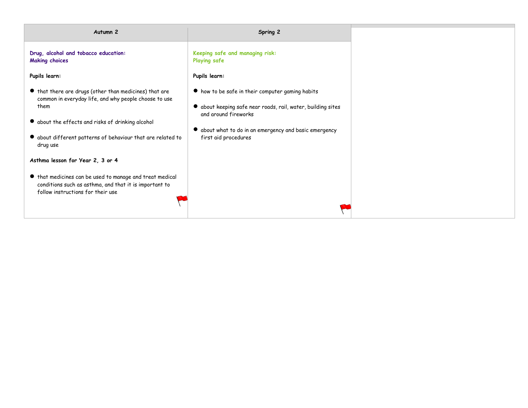| Autumn <sub>2</sub>                                                                                                                                                                                                                                              | Spring 2                                                                                                                                                                                                                   |
|------------------------------------------------------------------------------------------------------------------------------------------------------------------------------------------------------------------------------------------------------------------|----------------------------------------------------------------------------------------------------------------------------------------------------------------------------------------------------------------------------|
| Drug, alcohol and tobacco education:<br><b>Making choices</b>                                                                                                                                                                                                    | Keeping safe and managing risk:<br><b>Playing safe</b>                                                                                                                                                                     |
| Pupils learn:                                                                                                                                                                                                                                                    | Pupils learn:                                                                                                                                                                                                              |
| If that there are drugs (other than medicines) that are<br>common in everyday life, and why people choose to use<br>them<br>• about the effects and risks of drinking alcohol<br>$\bullet$ about different patterns of behaviour that are related to<br>drug use | ● how to be safe in their computer gaming habits<br>· about keeping safe near roads, rail, water, building sites<br>and around fireworks<br>• about what to do in an emergency and basic emergency<br>first aid procedures |
| Asthma lesson for Year 2, 3 or 4<br>If that medicines can be used to manage and treat medical<br>conditions such as asthma, and that it is important to<br>follow instructions for their use                                                                     |                                                                                                                                                                                                                            |
|                                                                                                                                                                                                                                                                  |                                                                                                                                                                                                                            |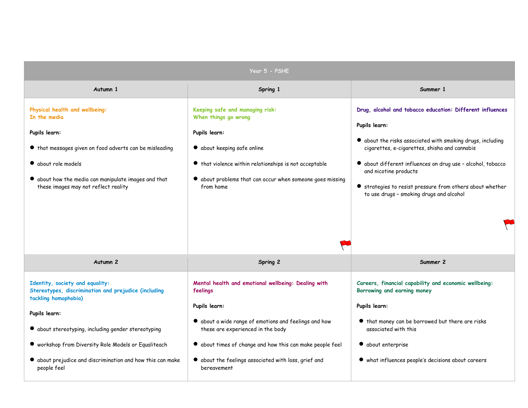|                                                                                                                 | Year 5 - PSHE                                                                                                       |                                                                                                             |
|-----------------------------------------------------------------------------------------------------------------|---------------------------------------------------------------------------------------------------------------------|-------------------------------------------------------------------------------------------------------------|
| Autumn 1                                                                                                        | Spring 1                                                                                                            | Summer 1                                                                                                    |
| Physical health and wellbeing:<br>In the media                                                                  | Keeping safe and managing risk:<br>When things go wrong                                                             | Drug, alcohol and tobacco education: Different influences<br>Pupils learn:                                  |
| Pupils learn:<br>If that messages given on food adverts can be misleading                                       | Pupils learn:<br>• about keeping safe online                                                                        | • about the risks associated with smoking drugs, including<br>cigarettes, e-cigarettes, shisha and cannabis |
| • about role models<br>$\bullet$ about how the media can manipulate images and that                             | ● that violence within relationships is not acceptable<br>• about problems that can occur when someone goes missing | • about different influences on drug use - alcohol, tobacco<br>and nicotine products                        |
| these images may not reflect reality                                                                            | from home                                                                                                           | Strategies to resist pressure from others about whether<br>to use drugs - smoking drugs and alcohol         |
|                                                                                                                 |                                                                                                                     |                                                                                                             |
| Autumn <sub>2</sub>                                                                                             | Spring 2                                                                                                            | Summer 2                                                                                                    |
| Identity, society and equality:<br>Stereotypes, discrimination and prejudice (including<br>tackling homophobia) | Mental health and emotional wellbeing: Dealing with<br>feelings                                                     | Careers, financial capability and economic wellbeing:<br>Borrowing and earning money                        |
| Pupils learn:                                                                                                   | Pupils learn:                                                                                                       | Pupils learn:                                                                                               |
| • about stereotyping, including gender stereotyping                                                             | $\bullet$ about a wide range of emotions and feelings and how<br>these are experienced in the body                  | ● that money can be borrowed but there are risks<br>associated with this                                    |
| • workshop from Diversity Role Models or Equaliteach                                                            | • about times of change and how this can make people feel                                                           | • about enterprise                                                                                          |
| $\bullet$ about prejudice and discrimination and how this can make<br>people feel                               | $\bullet$ about the feelings associated with loss, grief and<br>bereavement                                         | • what influences people's decisions about careers                                                          |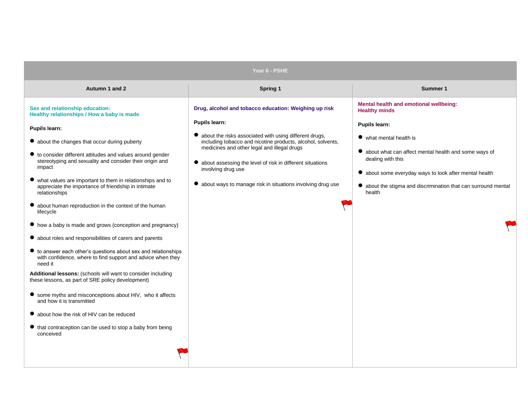| Year 6 - PSHE                                                                                                                                                                                                                                                                                                                                                                                                                                                                                                                                                                                                                                                                                                                                                                                                                                                                                                                                                                                                                                                                                                                     |                                                                                                                                                                                                                                                                                                                                                                                                     |                                                                                                                                                                                                                                                                                                                                 |
|-----------------------------------------------------------------------------------------------------------------------------------------------------------------------------------------------------------------------------------------------------------------------------------------------------------------------------------------------------------------------------------------------------------------------------------------------------------------------------------------------------------------------------------------------------------------------------------------------------------------------------------------------------------------------------------------------------------------------------------------------------------------------------------------------------------------------------------------------------------------------------------------------------------------------------------------------------------------------------------------------------------------------------------------------------------------------------------------------------------------------------------|-----------------------------------------------------------------------------------------------------------------------------------------------------------------------------------------------------------------------------------------------------------------------------------------------------------------------------------------------------------------------------------------------------|---------------------------------------------------------------------------------------------------------------------------------------------------------------------------------------------------------------------------------------------------------------------------------------------------------------------------------|
| Autumn 1 and 2                                                                                                                                                                                                                                                                                                                                                                                                                                                                                                                                                                                                                                                                                                                                                                                                                                                                                                                                                                                                                                                                                                                    | Spring 1                                                                                                                                                                                                                                                                                                                                                                                            | Summer 1                                                                                                                                                                                                                                                                                                                        |
| Sex and relationship education:<br>Healthy relationships / How a baby is made<br><b>Pupils learn:</b><br>• about the changes that occur during puberty<br>$\bullet$ to consider different attitudes and values around gender<br>stereotyping and sexuality and consider their origin and<br>impact<br>what values are important to them in relationships and to<br>appreciate the importance of friendship in intimate<br>relationships<br>about human reproduction in the context of the human<br>lifecycle<br>• how a baby is made and grows (conception and pregnancy)<br>• about roles and responsibilities of carers and parents<br>$\bullet$ to answer each other's questions about sex and relationships<br>with confidence, where to find support and advice when they<br>need it<br>Additional lessons: (schools will want to consider including<br>these lessons, as part of SRE policy development)<br>• some myths and misconceptions about HIV, who it affects<br>and how it is transmitted<br>• about how the risk of HIV can be reduced<br>● that contraception can be used to stop a baby from being<br>conceived | Drug, alcohol and tobacco education: Weighing up risk<br>Pupils learn:<br>• about the risks associated with using different drugs,<br>including tobacco and nicotine products, alcohol, solvents,<br>medicines and other legal and illegal drugs<br>about assessing the level of risk in different situations<br>involving drug use<br>• about ways to manage risk in situations involving drug use | Mental health and emotional wellbeing:<br><b>Healthy minds</b><br>Pupils learn:<br>• what mental health is<br>• about what can affect mental health and some ways of<br>dealing with this<br>• about some everyday ways to look after mental health<br>• about the stigma and discrimination that can surround mental<br>health |